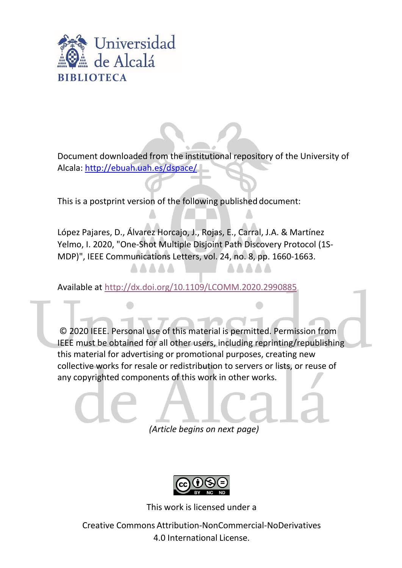

Document downloaded from the institutional repository of the University of Alcala:<http://ebuah.uah.es/dspace/>

This is a postprint version of the following published document:

López Pajares, D., Álvarez Horcajo, J., Rojas, E., Carral, J.A. & Martínez Yelmo, I. 2020, "One-Shot Multiple Disjoint Path Discovery Protocol (1S-MDP)", IEEE Communications Letters, vol. 24, no. 8, pp. 1660-1663.

Available at <http://dx.doi.org/10.1109/LCOMM.2020.2990885>

© 2020 IEEE. Personal use of this material is permitted. Permission from IEEE must be obtained for all other users, including reprinting/republishing this material for advertising or promotional purposes, creating new collective works for resale or redistribution to servers or lists, or reuse of any copyrighted components of this work in other works.

*(Article begins on next page)*



This work is licensed under a

Creative Commons Attribution-NonCommercial-NoDerivatives 4.0 International License.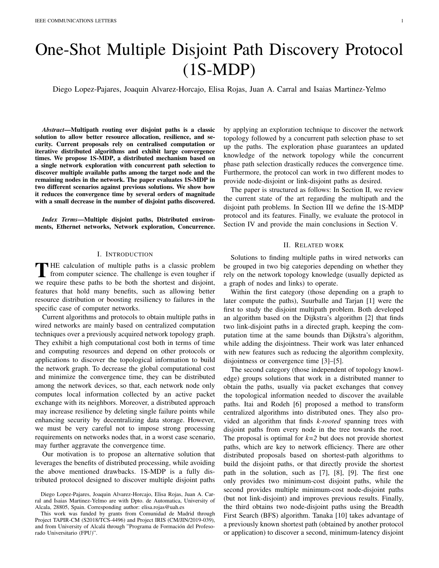# One-Shot Multiple Disjoint Path Discovery Protocol (1S-MDP)

Diego Lopez-Pajares, Joaquin Alvarez-Horcajo, Elisa Rojas, Juan A. Carral and Isaias Martinez-Yelmo

*Abstract*—Multipath routing over disjoint paths is a classic solution to allow better resource allocation, resilience, and security. Current proposals rely on centralised computation or iterative distributed algorithms and exhibit large convergence times. We propose 1S-MDP, a distributed mechanism based on a single network exploration with concurrent path selection to discover multiple available paths among the target node and the remaining nodes in the network. The paper evaluates 1S-MDP in two different scenarios against previous solutions. We show how it reduces the convergence time by several orders of magnitude with a small decrease in the number of disjoint paths discovered.

*Index Terms*—Multiple disjoint paths, Distributed environments, Ethernet networks, Network exploration, Concurrence.

## I. INTRODUCTION

THE calculation of multiple paths is a classic problem<br>from computer science. The challenge is even tougher if HE calculation of multiple paths is a classic problem we require these paths to be both the shortest and disjoint, features that hold many benefits, such as allowing better resource distribution or boosting resiliency to failures in the specific case of computer networks.

Current algorithms and protocols to obtain multiple paths in wired networks are mainly based on centralized computation techniques over a previously acquired network topology graph. They exhibit a high computational cost both in terms of time and computing resources and depend on other protocols or applications to discover the topological information to build the network graph. To decrease the global computational cost and minimize the convergence time, they can be distributed among the network devices, so that, each network node only computes local information collected by an active packet exchange with its neighbors. Moreover, a distributed approach may increase resilience by deleting single failure points while enhancing security by decentralizing data storage. However, we must be very careful not to impose strong processing requirements on networks nodes that, in a worst case scenario, may further aggravate the convergence time.

Our motivation is to propose an alternative solution that leverages the benefits of distributed processing, while avoiding the above mentioned drawbacks. 1S-MDP is a fully distributed protocol designed to discover multiple disjoint paths

by applying an exploration technique to discover the network topology followed by a concurrent path selection phase to set up the paths. The exploration phase guarantees an updated knowledge of the network topology while the concurrent phase path selection drastically reduces the convergence time. Furthermore, the protocol can work in two different modes to provide node-disjoint or link-disjoint paths as desired.

The paper is structured as follows: In Section II, we review the current state of the art regarding the multipath and the disjoint path problems. In Section III we define the 1S-MDP protocol and its features. Finally, we evaluate the protocol in Section IV and provide the main conclusions in Section V.

#### II. RELATED WORK

Solutions to finding multiple paths in wired networks can be grouped in two big categories depending on whether they rely on the network topology knowledge (usually depicted as a graph of nodes and links) to operate.

Within the first category (those depending on a graph to later compute the paths), Suurballe and Tarjan [1] were the first to study the disjoint multipath problem. Both developed an algorithm based on the Dijkstra's algorithm [2] that finds two link-disjoint paths in a directed graph, keeping the computation time at the same bounds than Dijkstra's algorithm, while adding the disjointness. Their work was later enhanced with new features such as reducing the algorithm complexity, disjointness or convergence time [3]–[5].

The second category (those independent of topology knowledge) groups solutions that work in a distributed manner to obtain the paths, usually via packet exchanges that convey the topological information needed to discover the available paths. Itai and Rodeh [6] proposed a method to transform centralized algorithms into distributed ones. They also provided an algorithm that finds *k-rooted* spanning trees with disjoint paths from every node in the tree towards the root. The proposal is optimal for  $k=2$  but does not provide shortest paths, which are key to network efficiency. There are other distributed proposals based on shortest-path algorithms to build the disjoint paths, or that directly provide the shortest path in the solution, such as [7], [8], [9]. The first one only provides two minimum-cost disjoint paths, while the second provides multiple minimum-cost node-disjoint paths (but not link-disjoint) and improves previous results. Finally, the third obtains two node-disjoint paths using the Breadth First Search (BFS) algorithm. Tanaka [10] takes advantage of a previously known shortest path (obtained by another protocol or application) to discover a second, minimum-latency disjoint

Diego Lopez-Pajares, Joaquin Alvarez-Horcajo, Elisa Rojas, Juan A. Carral and Isaias Martinez-Yelmo are with Dpto. de Automatica, University of Alcala, 28805, Spain. Corresponding author: elisa.rojas@uah.es

This work was funded by grants from Comunidad de Madrid through Project TAPIR-CM (S2018/TCS-4496) and Project IRIS (CM/JIN/2019-039), and from University of Alcalá through "Programa de Formación del Profesorado Universitario (FPU)".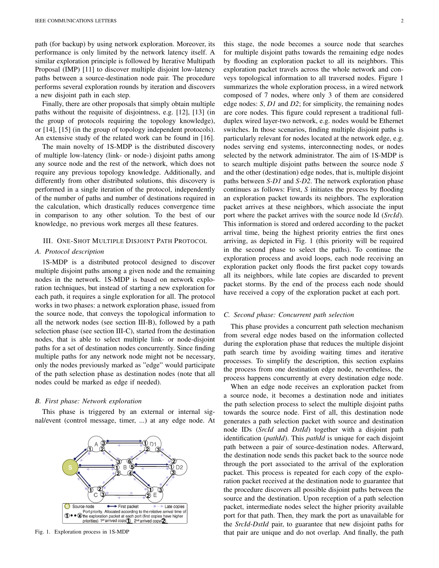path (for backup) by using network exploration. Moreover, its performance is only limited by the network latency itself. A similar exploration principle is followed by Iterative Multipath Proposal (IMP) [11] to discover multiple disjoint low-latency paths between a source-destination node pair. The procedure performs several exploration rounds by iteration and discovers a new disjoint path in each step.

Finally, there are other proposals that simply obtain multiple paths without the requisite of disjointness, e.g. [12], [13] (in the group of protocols requiring the topology knowledge), or [14], [15] (in the group of topology independent protocols). An extensive study of the related work can be found in [16].

The main novelty of 1S-MDP is the distributed discovery of multiple low-latency (link- or node-) disjoint paths among any source node and the rest of the network, which does not require any previous topology knowledge. Additionally, and differently from other distributed solutions, this discovery is performed in a single iteration of the protocol, independently of the number of paths and number of destinations required in the calculation, which drastically reduces convergence time in comparison to any other solution. To the best of our knowledge, no previous work merges all these features.

### III. ONE-SHOT MULTIPLE DISJOINT PATH PROTOCOL

## *A. Protocol description*

1S-MDP is a distributed protocol designed to discover multiple disjoint paths among a given node and the remaining nodes in the network. 1S-MDP is based on network exploration techniques, but instead of starting a new exploration for each path, it requires a single exploration for all. The protocol works in two phases: a network exploration phase, issued from the source node, that conveys the topological information to all the network nodes (see section III-B), followed by a path selection phase (see section III-C), started from the destination nodes, that is able to select multiple link- or node-disjoint paths for a set of destination nodes concurrently. Since finding multiple paths for any network node might not be necessary, only the nodes previously marked as "edge" would participate of the path selection phase as destination nodes (note that all nodes could be marked as edge if needed).

#### *B. First phase: Network exploration*

This phase is triggered by an external or internal signal/event (control message, timer, ...) at any edge node. At



Fig. 1. Exploration process in 1S-MDP

this stage, the node becomes a source node that searches for multiple disjoint paths towards the remaining edge nodes by flooding an exploration packet to all its neighbors. This exploration packet travels across the whole network and conveys topological information to all traversed nodes. Figure 1 summarizes the whole exploration process, in a wired network composed of 7 nodes, where only 3 of them are considered edge nodes: *S*, *D1* and *D2*; for simplicity, the remaining nodes are core nodes. This figure could represent a traditional fullduplex wired layer-two network, e.g. nodes would be Ethernet switches. In those scenarios, finding multiple disjoint paths is particularly relevant for nodes located at the network edge, e.g. nodes serving end systems, interconnecting nodes, or nodes selected by the network administrator. The aim of 1S-MDP is to search multiple disjoint paths between the source node *S* and the other (destination) edge nodes, that is, multiple disjoint paths between *S-D1* and *S-D2*. The network exploration phase continues as follows: First, *S* initiates the process by flooding an exploration packet towards its neighbors. The exploration packet arrives at these neighbors, which associate the input port where the packet arrives with the source node Id (*SrcId*). This information is stored and ordered according to the packet arrival time, being the highest priority entries the first ones arriving, as depicted in Fig. 1 (this priority will be required in the second phase to select the paths). To continue the exploration process and avoid loops, each node receiving an exploration packet only floods the first packet copy towards all its neighbors, while late copies are discarded to prevent packet storms. By the end of the process each node should have received a copy of the exploration packet at each port.

## *C. Second phase: Concurrent path selection*

This phase provides a concurrent path selection mechanism from several edge nodes based on the information collected during the exploration phase that reduces the multiple disjoint path search time by avoiding waiting times and iterative processes. To simplify the description, this section explains the process from one destination edge node, nevertheless, the process happens concurrently at every destination edge node.

When an edge node receives an exploration packet from a source node, it becomes a destination node and initiates the path selection process to select the multiple disjoint paths towards the source node. First of all, this destination node generates a path selection packet with source and destination node IDs (*SrcId* and *DstId*) together with a disjoint path identification (*pathId*). This *pathId* is unique for each disjoint path between a pair of source-destination nodes. Afterward, the destination node sends this packet back to the source node through the port associated to the arrival of the exploration packet. This process is repeated for each copy of the exploration packet received at the destination node to guarantee that the procedure discovers all possible disjoint paths between the source and the destination. Upon reception of a path selection packet, intermediate nodes select the higher priority available port for that path. Then, they mark the port as unavailable for the *SrcId*-*DstId* pair, to guarantee that new disjoint paths for that pair are unique and do not overlap. And finally, the path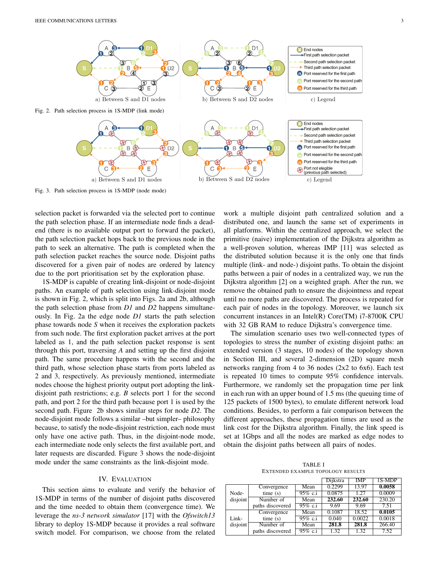

Fig. 3. Path selection process in 1S-MDP (node mode)

selection packet is forwarded via the selected port to continue the path selection phase. If an intermediate node finds a deadend (there is no available output port to forward the packet), the path selection packet hops back to the previous node in the path to seek an alternative. The path is completed when the path selection packet reaches the source node. Disjoint paths discovered for a given pair of nodes are ordered by latency due to the port prioritisation set by the exploration phase.

1S-MDP is capable of creating link-disjoint or node-disjoint paths. An example of path selection using link-disjoint mode is shown in Fig. 2, which is split into Figs. 2a and 2b, although the path selection phase from *D1* and *D2* happens simultaneously. In Fig. 2a the edge node *D1* starts the path selection phase towards node *S* when it receives the exploration packets from such node. The first exploration packet arrives at the port labeled as 1, and the path selection packet response is sent through this port, traversing *A* and setting up the first disjoint path. The same procedure happens with the second and the third path, whose selection phase starts from ports labeled as 2 and 3, respectively. As previously mentioned, intermediate nodes choose the highest priority output port adopting the linkdisjoint path restrictions; e.g. *B* selects port 1 for the second path, and port 2 for the third path because port 1 is used by the second path. Figure 2b shows similar steps for node *D2*. The node-disjoint mode follows a similar –but simpler– philosophy because, to satisfy the node-disjoint restriction, each node must only have one active path. Thus, in the disjoint-node mode, each intermediate node only selects the first available port, and later requests are discarded. Figure 3 shows the node-disjoint mode under the same constraints as the link-disjoint mode.

# IV. EVALUATION

This section aims to evaluate and verify the behavior of 1S-MDP in terms of the number of disjoint paths discovered and the time needed to obtain them (convergence time). We leverage the *ns-3 network simulator* [17] with the *Ofswitch13* library to deploy 1S-MDP because it provides a real software switch model. For comparison, we choose from the related

work a multiple disjoint path centralized solution and a distributed one, and launch the same set of experiments in all platforms. Within the centralized approach, we select the primitive (naive) implementation of the Dijkstra algorithm as a well-proven solution, whereas IMP [11] was selected as the distributed solution because it is the only one that finds multiple (link- and node-) disjoint paths. To obtain the disjoint paths between a pair of nodes in a centralized way, we run the Dijkstra algorithm [2] on a weighted graph. After the run, we remove the obtained path to ensure the disjointness and repeat until no more paths are discovered. The process is repeated for each pair of nodes in the topology. Moreover, we launch six concurrent instances in an Intel(R) Core(TM) i7-8700K CPU with 32 GB RAM to reduce Dijkstra's convergence time.

The simulation scenario uses two well-connected types of topologies to stress the number of existing disjoint paths: an extended version (3 stages, 10 nodes) of the topology shown in Section III, and several 2-dimension (2D) square mesh networks ranging from 4 to 36 nodes (2x2 to 6x6). Each test is repeated 10 times to compute 95% confidence intervals. Furthermore, we randomly set the propagation time per link in each run with an upper bound of 1.5 ms (the queuing time of 125 packets of 1500 bytes), to emulate different network load conditions. Besides, to perform a fair comparison between the different approaches, these propagation times are used as the link cost for the Dijkstra algorithm. Finally, the link speed is set at 1Gbps and all the nodes are marked as edge nodes to obtain the disjoint paths between all pairs of nodes.

TABLE I EXTENDED EXAMPLE TOPOLOGY RESULTS

|                   |                  |                    | Dijkstra | <b>IMP</b> | 1S-MDP |
|-------------------|------------------|--------------------|----------|------------|--------|
|                   | Convergence      | Mean               | 0.2299   | 13.97      | 0.0058 |
| Node-<br>disjoint | time(s)          | $95\% \text{ c.i}$ | 0.0875   | 1.27       | 0.0009 |
|                   | Number of        | Mean               | 232.60   | 232.60     | 230.20 |
|                   | paths discovered | $95\% \text{ c.i}$ | 9.69     | 9.69       | 7.51   |
|                   | Convergence      | Mean               | 0.1087   | 18.52      | 0.0105 |
| Link-             | time(s)          | $95\% \text{ c.i}$ | 0.040    | 0.0022     | 0.0018 |
| disjoint          | Number of        | Mean               | 281.8    | 281.8      | 266.40 |
|                   | paths discovered | $95\% \text{ c.i}$ | 1.32     | 1.32       | 7.52   |